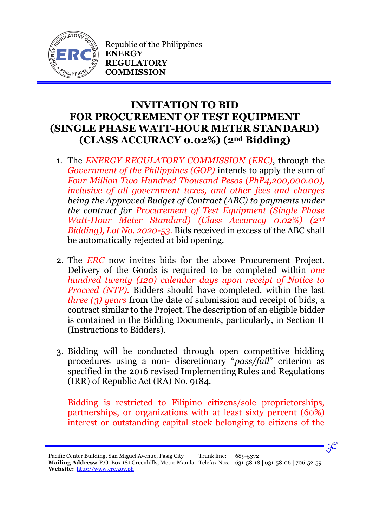

Republic of the Philippines **ENERGY REGULATORY COMMISSION**

## **INVITATION TO BID FOR PROCUREMENT OF TEST EQUIPMENT (SINGLE PHASE WATT-HOUR METER STANDARD) (CLASS ACCURACY 0.02%) (2nd Bidding)**

- 1. The *ENERGY REGULATORY COMMISSION (ERC)*, through the *Government of the Philippines (GOP)* intends to apply the sum of *Four Million Two Hundred Thousand Pesos (PhP4,200,000.00), inclusive of all government taxes, and other fees and charges being the Approved Budget of Contract (ABC) to payments under the contract for Procurement of Test Equipment (Single Phase Watt-Hour Meter Standard) (Class Accuracy 0.02%) (2nd Bidding), Lot No. 2020-53.* Bids received in excess of the ABC shall be automatically rejected at bid opening.
- 2. The *ERC* now invites bids for the above Procurement Project. Delivery of the Goods is required to be completed within *one hundred twenty (120) calendar days upon receipt of Notice to Proceed (NTP).* Bidders should have completed, within the last *three (3) years* from the date of submission and receipt of bids, a contract similar to the Project. The description of an eligible bidder is contained in the Bidding Documents, particularly, in Section II (Instructions to Bidders).
- 3. Bidding will be conducted through open competitive bidding procedures using a non- discretionary "*pass/fail*" criterion as specified in the 2016 revised Implementing Rules and Regulations (IRR) of Republic Act (RA) No. 9184.

Bidding is restricted to Filipino citizens/sole proprietorships, partnerships, or organizations with at least sixty percent (60%) interest or outstanding capital stock belonging to citizens of the

 $\mathcal{F}$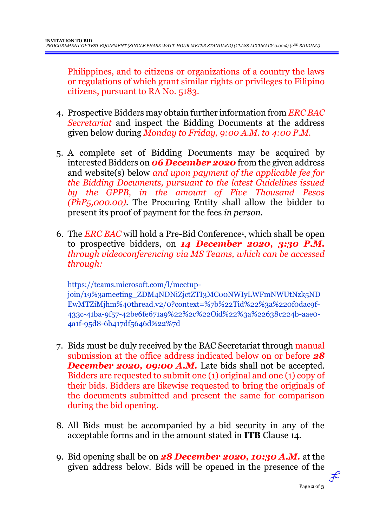Philippines, and to citizens or organizations of a country the laws or regulations of which grant similar rights or privileges to Filipino citizens, pursuant to RA No. 5183.

- 4. Prospective Bidders may obtain further information from *ERC BAC Secretariat* and inspect the Bidding Documents at the address given below during *Monday to Friday, 9:00 A.M. to 4:00 P.M*.
- 5. A complete set of Bidding Documents may be acquired by interested Bidders on *06 December 2020* from the given address and website(s) below *and upon payment of the applicable fee for the Bidding Documents, pursuant to the latest Guidelines issued by the GPPB, in the amount of Five Thousand Pesos (PhP5,000.00)*. The Procuring Entity shall allow the bidder to present its proof of payment for the fees *in person.*
- 6. The *ERC BAC* will hold a Pre-Bid Conference<sup>1</sup> , which shall be open to prospective bidders, on *14 December 2020, 3:30 P.M. through videoconferencing via MS Teams, which can be accessed through:*

https://teams.microsoft.com/l/meetupjoin/19%3ameeting\_ZDM4NDNiZjctZTI3MC00NWIyLWFmNWUtNzk5ND EwMTZiMjhm%40thread.v2/0?context=%7b%22Tid%22%3a%220f0dac9f-433c-41ba-9f57-42be6fe671a9%22%2c%22Oid%22%3a%22638c224b-aae0- 4a1f-95d8-6b417df5646d%22%7d

- 7. Bids must be duly received by the BAC Secretariat through manual submission at the office address indicated below on or before *28*  **December 2020, 09:00 A.M.** Late bids shall not be accepted. Bidders are requested to submit one (1) original and one (1) copy of their bids. Bidders are likewise requested to bring the originals of the documents submitted and present the same for comparison during the bid opening.
- 8. All Bids must be accompanied by a bid security in any of the acceptable forms and in the amount stated in **ITB** Clause 14.
- 9. Bid opening shall be on *28 December 2020, 10:30 A.M.* at the given address below. Bids will be opened in the presence of the

Page **2** of **3**

 $\mathcal{F}$